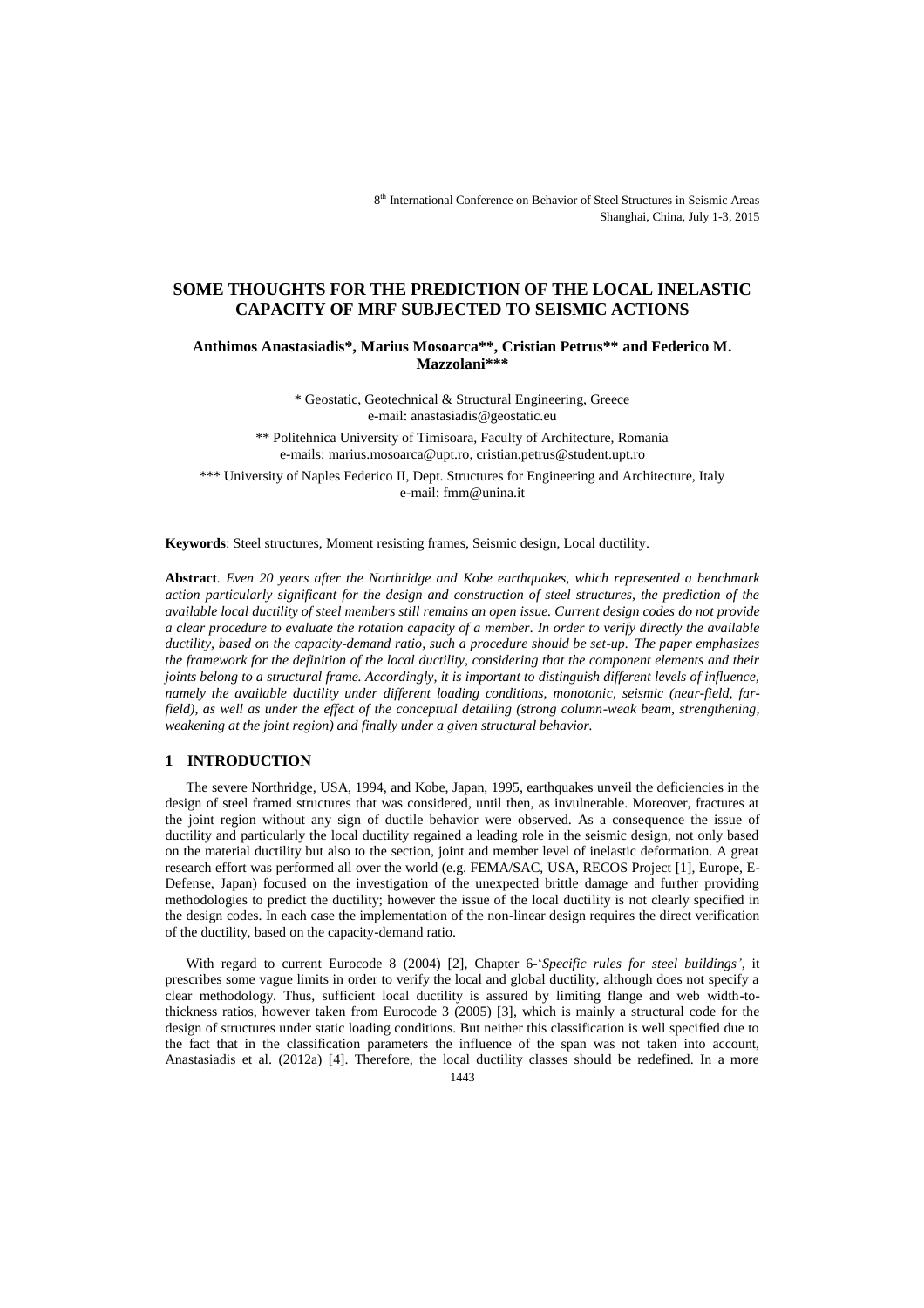# **SOME THOUGHTS FOR THE PREDICTION OF THE LOCAL INELASTIC CAPACITY OF MRF SUBJECTED TO SEISMIC ACTIONS**

**Anthimos Anastasiadis\*, Marius Mosoarca\*\*, Cristian Petrus\*\* and Federico M. Mazzolani\*\*\***

> \* Geostatic, Geotechnical & Structural Engineering, Greece e-mail: anastasiadis@geostatic.eu

\*\* Politehnica University of Timisoara, Faculty of Architecture, Romania e-mails[: marius.mosoarca@upt.ro,](mailto:marius.mosoarca@upt.ro) [cristian.petrus@student.upt.ro](mailto:cristian.petrus@student.upt.ro)

\*\*\* University of Naples Federico II, Dept. Structures for Engineering and Architecture, Italy e-mail: fmm@unina.it

**Keywords**: Steel structures, Moment resisting frames, Seismic design, Local ductility.

**Abstract***. Even 20 years after the Northridge and Kobe earthquakes, which represented a benchmark action particularly significant for the design and construction of steel structures, the prediction of the available local ductility of steel members still remains an open issue. Current design codes do not provide a clear procedure to evaluate the rotation capacity of a member. In order to verify directly the available ductility, based on the capacity-demand ratio, such a procedure should be set-up. The paper emphasizes the framework for the definition of the local ductility, considering that the component elements and their joints belong to a structural frame. Accordingly, it is important to distinguish different levels of influence, namely the available ductility under different loading conditions, monotonic, seismic (near-field, farfield), as well as under the effect of the conceptual detailing (strong column-weak beam, strengthening, weakening at the joint region) and finally under a given structural behavior.*

## **1 INTRODUCTION**

The severe Northridge, USA, 1994, and Kobe, Japan, 1995, earthquakes unveil the deficiencies in the design of steel framed structures that was considered, until then, as invulnerable. Moreover, fractures at the joint region without any sign of ductile behavior were observed. As a consequence the issue of ductility and particularly the local ductility regained a leading role in the seismic design, not only based on the material ductility but also to the section, joint and member level of inelastic deformation. A great research effort was performed all over the world (e.g. FEMA/SAC, USA, RECOS Project [1], Europe, E-Defense, Japan) focused on the investigation of the unexpected brittle damage and further providing methodologies to predict the ductility; however the issue of the local ductility is not clearly specified in the design codes. In each case the implementation of the non-linear design requires the direct verification of the ductility, based on the capacity-demand ratio.

With regard to current Eurocode 8 (2004) [2], Chapter 6-'*Specific rules for steel buildings'*, it prescribes some vague limits in order to verify the local and global ductility, although does not specify a clear methodology. Thus, sufficient local ductility is assured by limiting flange and web width-tothickness ratios, however taken from Eurocode 3 (2005) [3], which is mainly a structural code for the design of structures under static loading conditions. But neither this classification is well specified due to the fact that in the classification parameters the influence of the span was not taken into account, Anastasiadis et al. (2012a) [4]. Therefore, the local ductility classes should be redefined. In a more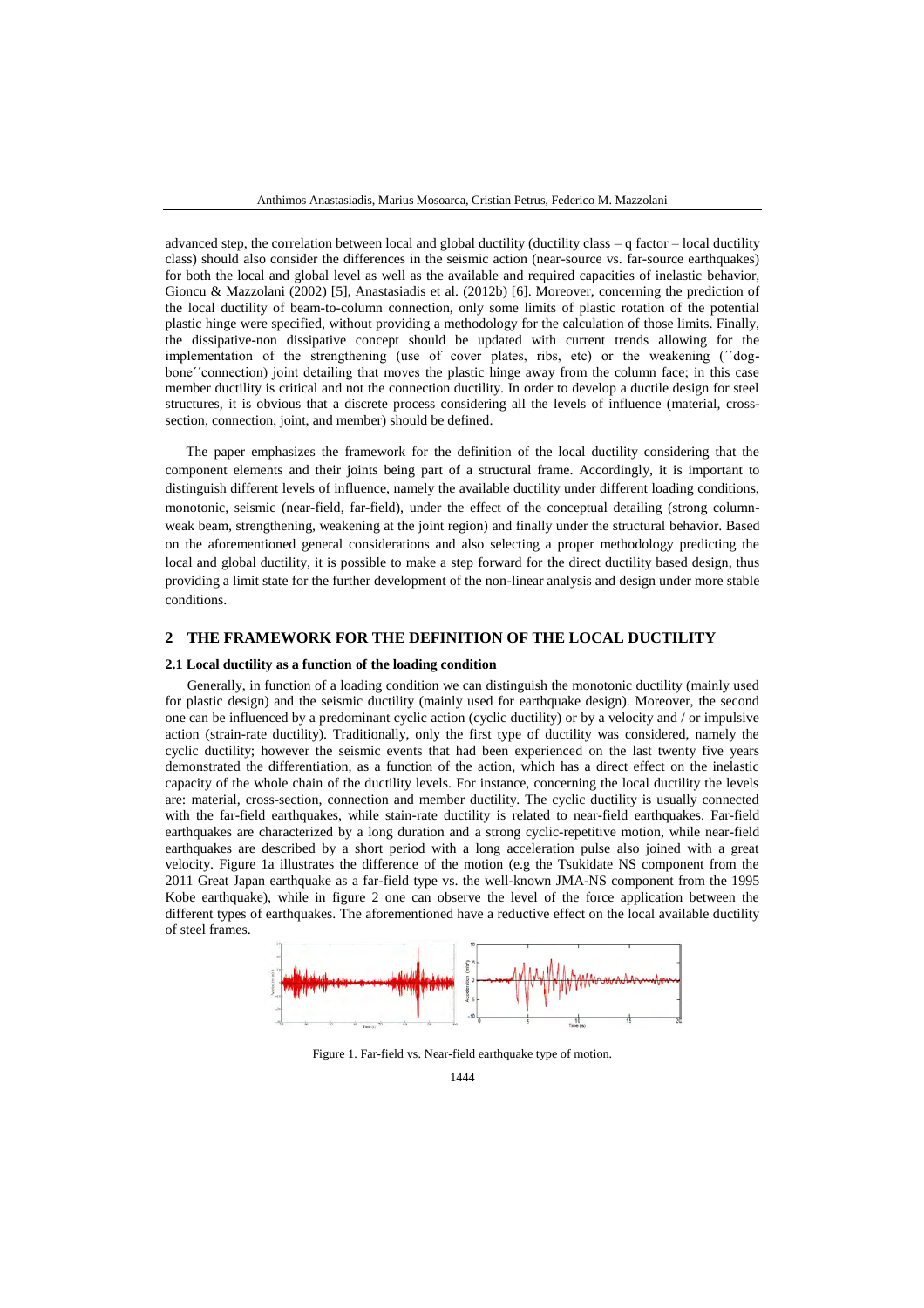advanced step, the correlation between local and global ductility (ductility class – q factor – local ductility class) should also consider the differences in the seismic action (near-source vs. far-source earthquakes) for both the local and global level as well as the available and required capacities of inelastic behavior, Gioncu & Mazzolani (2002) [5], Anastasiadis et al. (2012b) [6]. Moreover, concerning the prediction of the local ductility of beam-to-column connection, only some limits of plastic rotation of the potential plastic hinge were specified, without providing a methodology for the calculation of those limits. Finally, the dissipative-non dissipative concept should be updated with current trends allowing for the implementation of the strengthening (use of cover plates, ribs, etc) or the weakening (΄΄dogbone΄΄connection) joint detailing that moves the plastic hinge away from the column face; in this case member ductility is critical and not the connection ductility. In order to develop a ductile design for steel structures, it is obvious that a discrete process considering all the levels of influence (material, crosssection, connection, joint, and member) should be defined.

The paper emphasizes the framework for the definition of the local ductility considering that the component elements and their joints being part of a structural frame. Accordingly, it is important to distinguish different levels of influence, namely the available ductility under different loading conditions, monotonic, seismic (near-field, far-field), under the effect of the conceptual detailing (strong columnweak beam, strengthening, weakening at the joint region) and finally under the structural behavior. Based on the aforementioned general considerations and also selecting a proper methodology predicting the local and global ductility, it is possible to make a step forward for the direct ductility based design, thus providing a limit state for the further development of the non-linear analysis and design under more stable conditions.

## **2 THE FRAMEWORK FOR THE DEFINITION OF THE LOCAL DUCTILITY**

#### **2.1 Local ductility as a function of the loading condition**

Generally, in function of a loading condition we can distinguish the monotonic ductility (mainly used for plastic design) and the seismic ductility (mainly used for earthquake design). Moreover, the second one can be influenced by a predominant cyclic action (cyclic ductility) or by a velocity and / or impulsive action (strain-rate ductility). Traditionally, only the first type of ductility was considered, namely the cyclic ductility; however the seismic events that had been experienced on the last twenty five years demonstrated the differentiation, as a function of the action, which has a direct effect on the inelastic capacity of the whole chain of the ductility levels. For instance, concerning the local ductility the levels are: material, cross-section, connection and member ductility. The cyclic ductility is usually connected with the far-field earthquakes, while stain-rate ductility is related to near-field earthquakes. Far-field earthquakes are characterized by a long duration and a strong cyclic-repetitive motion, while near-field earthquakes are described by a short period with a long acceleration pulse also joined with a great velocity. Figure 1a illustrates the difference of the motion (e.g the Tsukidate NS component from the 2011 Great Japan earthquake as a far-field type vs. the well-known JMA-NS component from the 1995 Kobe earthquake), while in figure 2 one can observe the level of the force application between the different types of earthquakes. The aforementioned have a reductive effect on the local available ductility of steel frames.



Figure 1. Far-field vs. Near-field earthquake type of motion.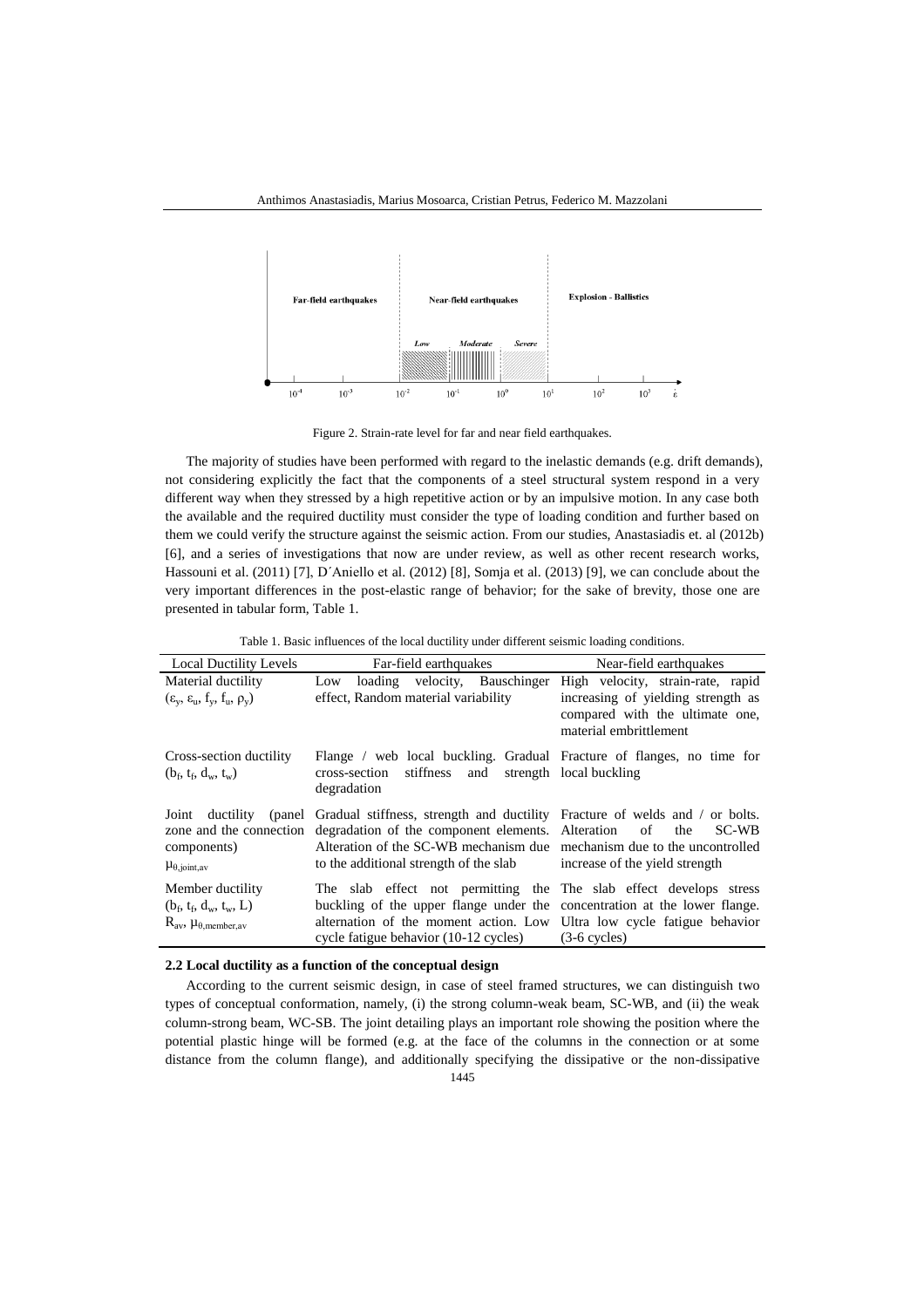

Figure 2. Strain-rate level for far and near field earthquakes.

The majority of studies have been performed with regard to the inelastic demands (e.g. drift demands), not considering explicitly the fact that the components of a steel structural system respond in a very different way when they stressed by a high repetitive action or by an impulsive motion. In any case both the available and the required ductility must consider the type of loading condition and further based on them we could verify the structure against the seismic action. From our studies, Anastasiadis et. al (2012b) [6], and a series of investigations that now are under review, as well as other recent research works, Hassouni et al. (2011) [7], D΄Aniello et al. (2012) [8], Somja et al. (2013) [9], we can conclude about the very important differences in the post-elastic range of behavior; for the sake of brevity, those one are presented in tabular form, Table 1.

| <b>Local Ductility Levels</b>                      | Far-field earthquakes                                                                                                                                | Near-field earthquakes                                                                          |
|----------------------------------------------------|------------------------------------------------------------------------------------------------------------------------------------------------------|-------------------------------------------------------------------------------------------------|
| Material ductility                                 | Low loading velocity, Bauschinger                                                                                                                    | High velocity, strain-rate, rapid                                                               |
| $(\varepsilon_v, \varepsilon_u, f_v, f_u, \rho_v)$ | effect, Random material variability                                                                                                                  | increasing of yielding strength as<br>compared with the ultimate one,<br>material embrittlement |
| Cross-section ductility                            | Flange / web local buckling. Gradual Fracture of flanges, no time for                                                                                |                                                                                                 |
| $(b_f, t_f, d_w, t_w)$                             | stiffness<br>and strength local buckling<br>cross-section<br>degradation                                                                             |                                                                                                 |
|                                                    | Joint ductility (panel Gradual stiffness, strength and ductility Fracture of welds and / or bolts.                                                   |                                                                                                 |
| components)                                        | zone and the connection degradation of the component elements. Alteration<br>Alteration of the SC-WB mechanism due mechanism due to the uncontrolled | the<br>SC-WB<br>$\circ$ of                                                                      |
| $\mu_{\theta, \text{joint}, av}$                   | to the additional strength of the slab                                                                                                               | increase of the yield strength                                                                  |
| Member ductility                                   | The slab effect not permitting the The slab effect develops stress                                                                                   |                                                                                                 |
| $(b_f, t_f, d_w, t_w, L)$                          | buckling of the upper flange under the concentration at the lower flange.                                                                            |                                                                                                 |
| $R_{av}$ , $\mu_{\theta, \text{member}, av}$       | alternation of the moment action. Low Ultra low cycle fatigue behavior                                                                               |                                                                                                 |
|                                                    | cycle fatigue behavior (10-12 cycles)                                                                                                                | $(3-6$ cycles)                                                                                  |

#### **2.2 Local ductility as a function of the conceptual design**

According to the current seismic design, in case of steel framed structures, we can distinguish two types of conceptual conformation, namely, (i) the strong column-weak beam, SC-WB, and (ii) the weak column-strong beam, WC-SB. The joint detailing plays an important role showing the position where the potential plastic hinge will be formed (e.g. at the face of the columns in the connection or at some distance from the column flange), and additionally specifying the dissipative or the non-dissipative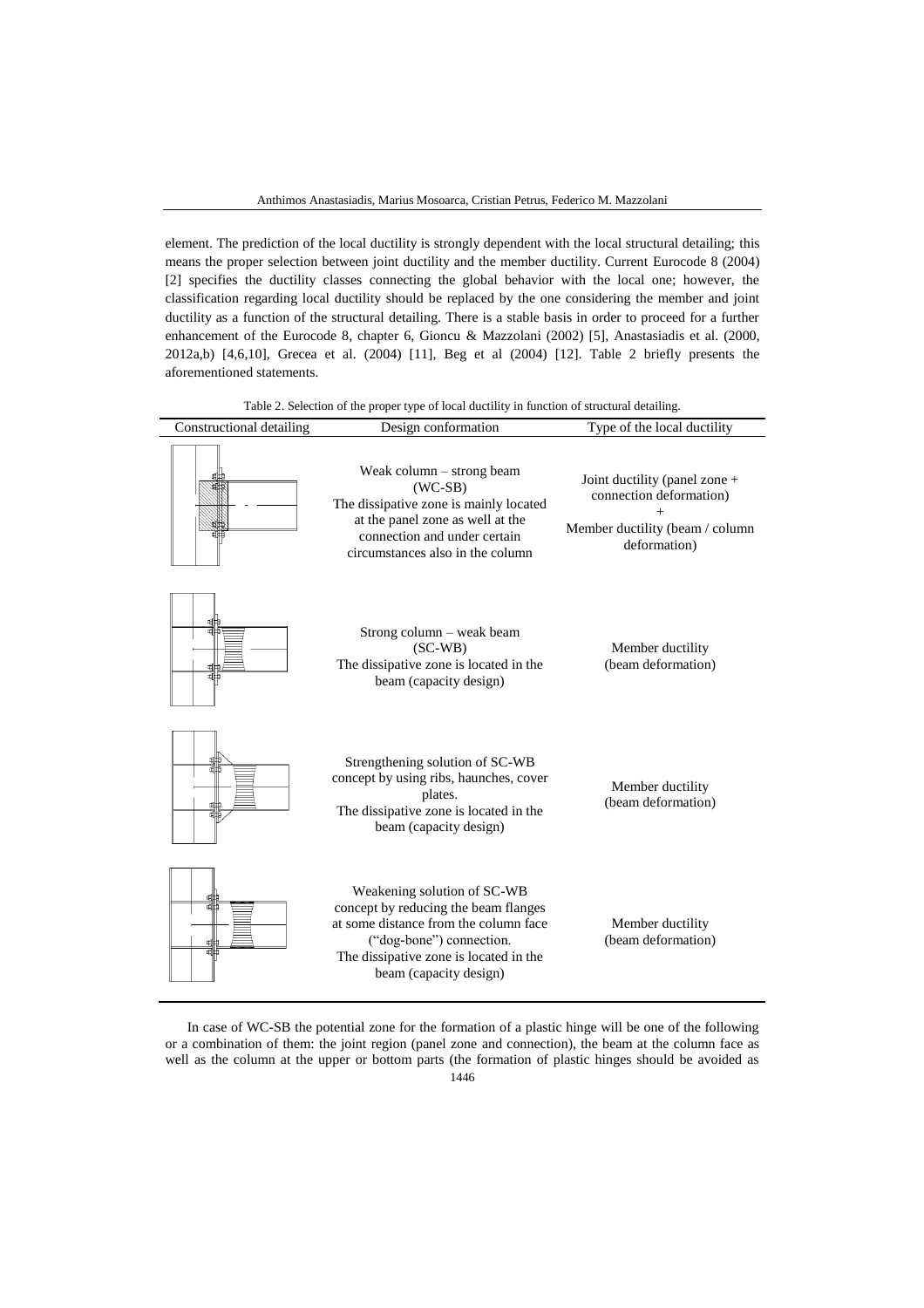element. The prediction of the local ductility is strongly dependent with the local structural detailing; this means the proper selection between joint ductility and the member ductility. Current Eurocode 8 (2004) [2] specifies the ductility classes connecting the global behavior with the local one; however, the classification regarding local ductility should be replaced by the one considering the member and joint ductility as a function of the structural detailing. There is a stable basis in order to proceed for a further enhancement of the Eurocode 8, chapter 6, Gioncu & Mazzolani (2002) [5], Anastasiadis et al. (2000, 2012a,b) [4,6,10], Grecea et al. (2004) [11], Beg et al (2004) [12]. Table 2 briefly presents the aforementioned statements.

|  |  |  | Table 2. Selection of the proper type of local ductility in function of structural detailing. |
|--|--|--|-----------------------------------------------------------------------------------------------|
|--|--|--|-----------------------------------------------------------------------------------------------|

| Constructional detailing | Design conformation                                                                                                                                                                                          | Type of the local ductility                                                                                 |
|--------------------------|--------------------------------------------------------------------------------------------------------------------------------------------------------------------------------------------------------------|-------------------------------------------------------------------------------------------------------------|
|                          | Weak column $-$ strong beam<br>$(WC-SB)$<br>The dissipative zone is mainly located<br>at the panel zone as well at the<br>connection and under certain<br>circumstances also in the column                   | Joint ductility (panel zone +<br>connection deformation)<br>Member ductility (beam / column<br>deformation) |
|                          | Strong column – weak beam<br>$(SC-WB)$<br>The dissipative zone is located in the<br>beam (capacity design)                                                                                                   | Member ductility<br>(beam deformation)                                                                      |
|                          | Strengthening solution of SC-WB<br>concept by using ribs, haunches, cover<br>plates.<br>The dissipative zone is located in the<br>beam (capacity design)                                                     | Member ductility<br>(beam deformation)                                                                      |
|                          | Weakening solution of SC-WB<br>concept by reducing the beam flanges<br>at some distance from the column face<br>("dog-bone") connection.<br>The dissipative zone is located in the<br>beam (capacity design) | Member ductility<br>(beam deformation)                                                                      |

In case of WC-SB the potential zone for the formation of a plastic hinge will be one of the following or a combination of them: the joint region (panel zone and connection), the beam at the column face as well as the column at the upper or bottom parts (the formation of plastic hinges should be avoided as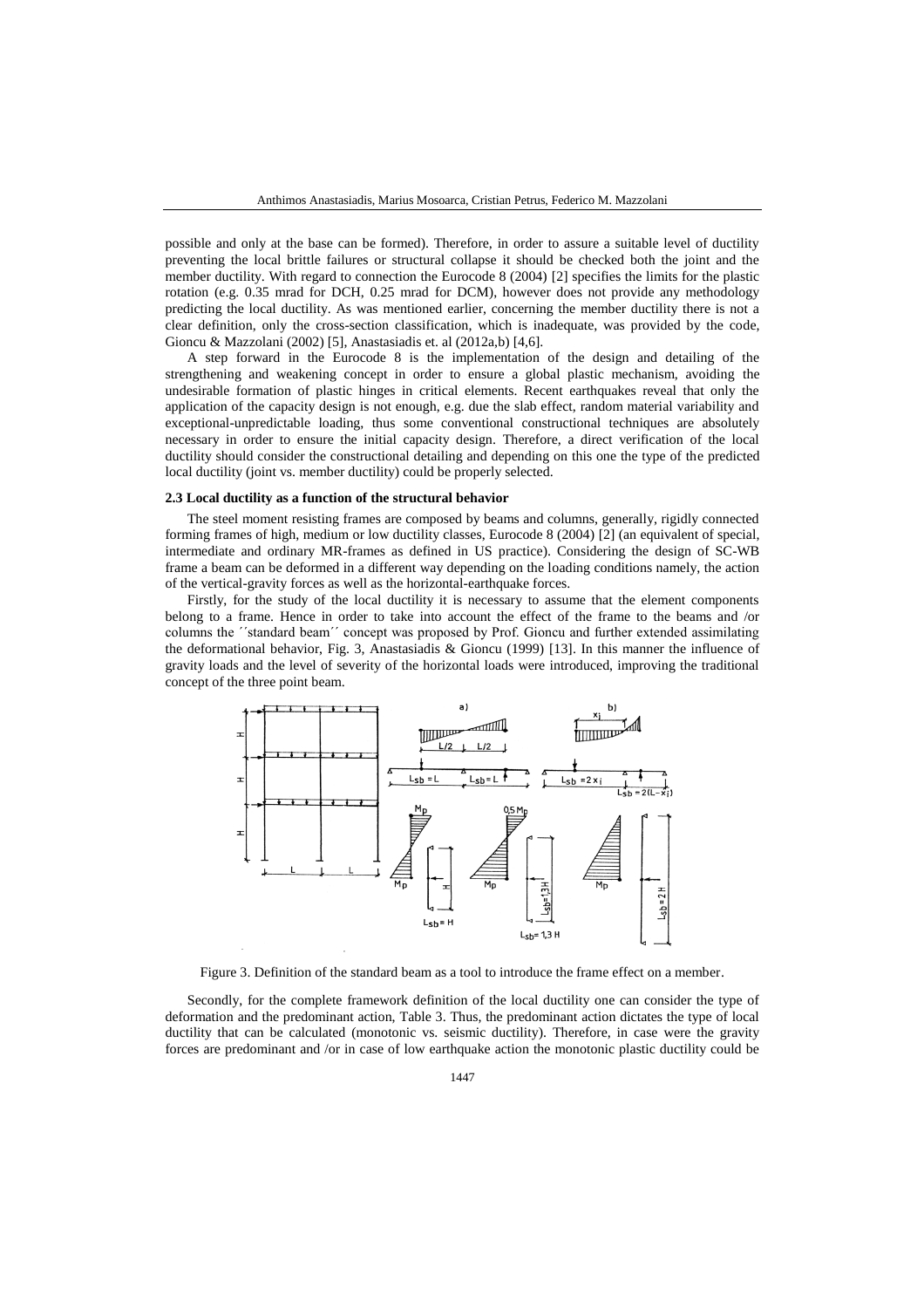possible and only at the base can be formed). Therefore, in order to assure a suitable level of ductility preventing the local brittle failures or structural collapse it should be checked both the joint and the member ductility. With regard to connection the Eurocode 8 (2004) [2] specifies the limits for the plastic rotation (e.g. 0.35 mrad for DCH, 0.25 mrad for DCM), however does not provide any methodology predicting the local ductility. As was mentioned earlier, concerning the member ductility there is not a clear definition, only the cross-section classification, which is inadequate, was provided by the code, Gioncu & Mazzolani (2002) [5], Anastasiadis et. al (2012a,b) [4,6].

A step forward in the Eurocode 8 is the implementation of the design and detailing of the strengthening and weakening concept in order to ensure a global plastic mechanism, avoiding the undesirable formation of plastic hinges in critical elements. Recent earthquakes reveal that only the application of the capacity design is not enough, e.g. due the slab effect, random material variability and exceptional-unpredictable loading, thus some conventional constructional techniques are absolutely necessary in order to ensure the initial capacity design. Therefore, a direct verification of the local ductility should consider the constructional detailing and depending on this one the type of the predicted local ductility (joint vs. member ductility) could be properly selected.

#### **2.3 Local ductility as a function of the structural behavior**

The steel moment resisting frames are composed by beams and columns, generally, rigidly connected forming frames of high, medium or low ductility classes, Eurocode 8 (2004) [2] (an equivalent of special, intermediate and ordinary MR-frames as defined in US practice). Considering the design of SC-WB frame a beam can be deformed in a different way depending on the loading conditions namely, the action of the vertical-gravity forces as well as the horizontal-earthquake forces.

Firstly, for the study of the local ductility it is necessary to assume that the element components belong to a frame. Hence in order to take into account the effect of the frame to the beams and /or columns the ΄΄standard beam΄΄ concept was proposed by Prof. Gioncu and further extended assimilating the deformational behavior, Fig. 3, Anastasiadis & Gioncu (1999) [13]. In this manner the influence of gravity loads and the level of severity of the horizontal loads were introduced, improving the traditional concept of the three point beam.



Figure 3. Definition of the standard beam as a tool to introduce the frame effect on a member.

Secondly, for the complete framework definition of the local ductility one can consider the type of deformation and the predominant action, Table 3. Thus, the predominant action dictates the type of local ductility that can be calculated (monotonic vs. seismic ductility). Therefore, in case were the gravity forces are predominant and /or in case of low earthquake action the monotonic plastic ductility could be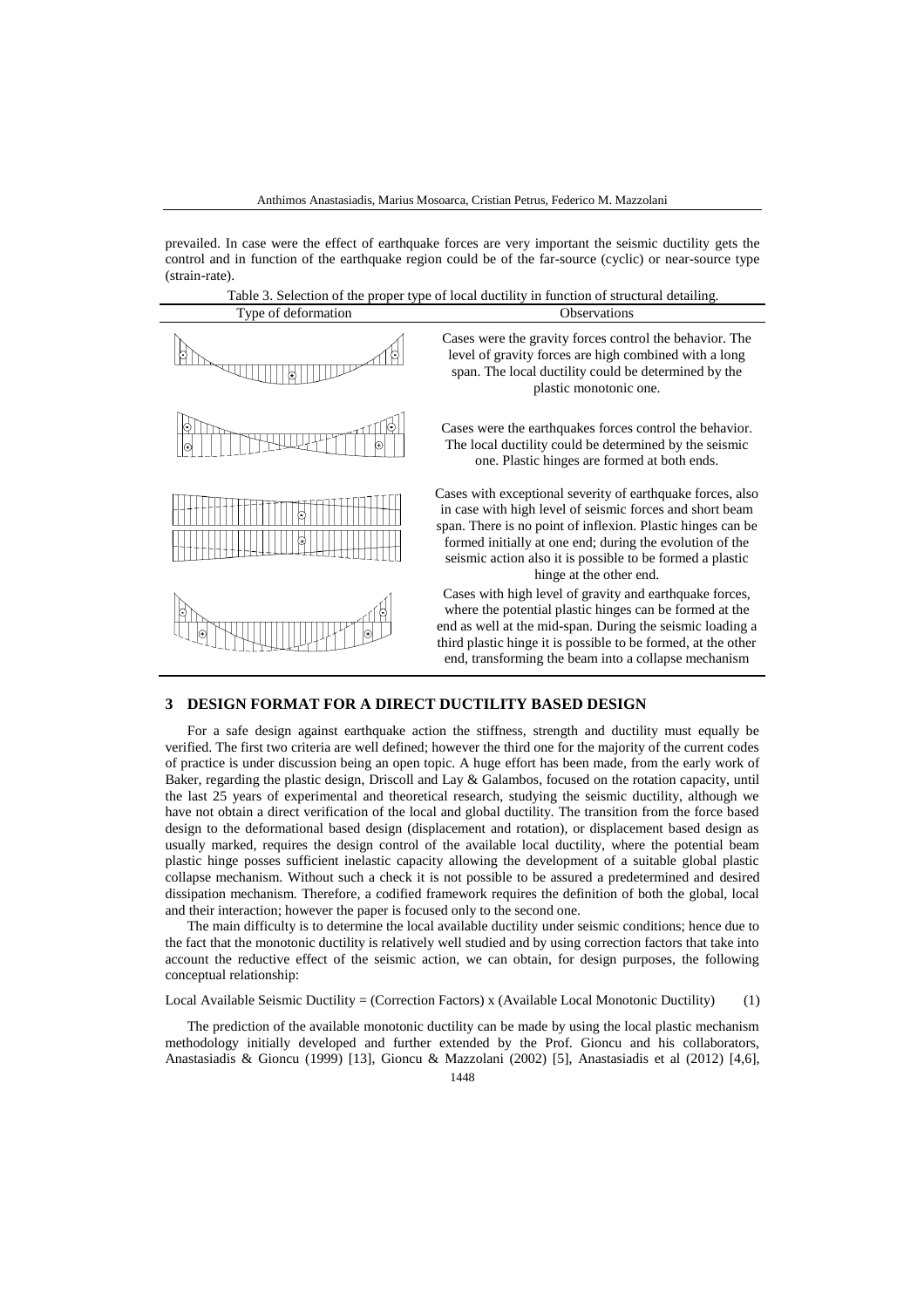prevailed. In case were the effect of earthquake forces are very important the seismic ductility gets the control and in function of the earthquake region could be of the far-source (cyclic) or near-source type (strain-rate).

Table 3. Selection of the proper type of local ductility in function of structural detailing.

| Type of deformation | <b>Observations</b>                                                                                                                                                                                                                                                                                                                       |
|---------------------|-------------------------------------------------------------------------------------------------------------------------------------------------------------------------------------------------------------------------------------------------------------------------------------------------------------------------------------------|
|                     | Cases were the gravity forces control the behavior. The<br>level of gravity forces are high combined with a long<br>span. The local ductility could be determined by the<br>plastic monotonic one.                                                                                                                                        |
|                     | Cases were the earthquakes forces control the behavior.<br>The local ductility could be determined by the seismic<br>one. Plastic hinges are formed at both ends.                                                                                                                                                                         |
|                     | Cases with exceptional severity of earthquake forces, also<br>in case with high level of seismic forces and short beam<br>span. There is no point of inflexion. Plastic hinges can be<br>formed initially at one end; during the evolution of the<br>seismic action also it is possible to be formed a plastic<br>hinge at the other end. |
|                     | Cases with high level of gravity and earthquake forces,<br>where the potential plastic hinges can be formed at the<br>end as well at the mid-span. During the seismic loading a<br>third plastic hinge it is possible to be formed, at the other<br>end, transforming the beam into a collapse mechanism                                  |

## **3 DESIGN FORMAT FOR A DIRECT DUCTILITY BASED DESIGN**

For a safe design against earthquake action the stiffness, strength and ductility must equally be verified. The first two criteria are well defined; however the third one for the majority of the current codes of practice is under discussion being an open topic. A huge effort has been made, from the early work of Baker, regarding the plastic design, Driscoll and Lay & Galambos, focused on the rotation capacity, until the last 25 years of experimental and theoretical research, studying the seismic ductility, although we have not obtain a direct verification of the local and global ductility. The transition from the force based design to the deformational based design (displacement and rotation), or displacement based design as usually marked, requires the design control of the available local ductility, where the potential beam plastic hinge posses sufficient inelastic capacity allowing the development of a suitable global plastic collapse mechanism. Without such a check it is not possible to be assured a predetermined and desired dissipation mechanism. Therefore, a codified framework requires the definition of both the global, local and their interaction; however the paper is focused only to the second one.

The main difficulty is to determine the local available ductility under seismic conditions; hence due to the fact that the monotonic ductility is relatively well studied and by using correction factors that take into account the reductive effect of the seismic action, we can obtain, for design purposes, the following conceptual relationship:

Local Available Seismic Ductility = (Correction Factors) x (Available Local Monotonic Ductility) (1)

The prediction of the available monotonic ductility can be made by using the local plastic mechanism methodology initially developed and further extended by the Prof. Gioncu and his collaborators, Anastasiadis & Gioncu (1999) [13], Gioncu & Mazzolani (2002) [5], Anastasiadis et al (2012) [4,6],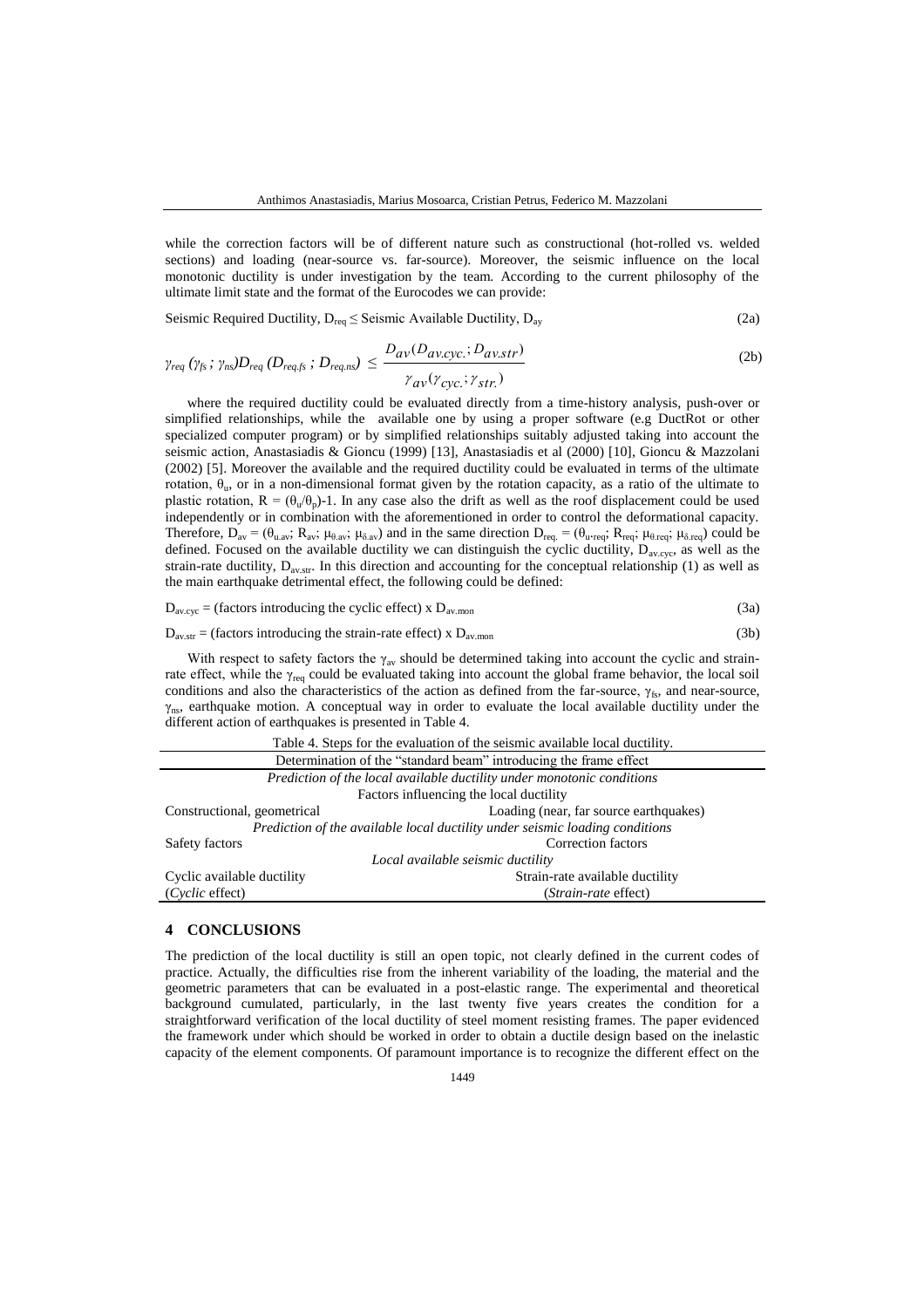while the correction factors will be of different nature such as constructional (hot-rolled vs. welded sections) and loading (near-source vs. far-source). Moreover, the seismic influence on the local monotonic ductility is under investigation by the team. According to the current philosophy of the ultimate limit state and the format of the Eurocodes we can provide:

Seismic Required Ductility, 
$$
D_{\text{req}} \leq
$$
 Seismic Available Ductility,  $D_{\text{ay}}$  (2a)

$$
\gamma_{req}(\gamma_{fs}; \gamma_{ns})D_{req}(D_{req,fs}; D_{req,ns}) \le \frac{D_{av}(D_{av,cyc}; D_{av,str})}{\gamma_{av}(\gamma_{cyc}; \gamma_{str})}
$$
\n(2b)

where the required ductility could be evaluated directly from a time-history analysis, push-over or simplified relationships, while the available one by using a proper software (e.g DuctRot or other specialized computer program) or by simplified relationships suitably adjusted taking into account the seismic action, Anastasiadis & Gioncu (1999) [13], Anastasiadis et al (2000) [10], Gioncu & Mazzolani (2002) [5]. Moreover the available and the required ductility could be evaluated in terms of the ultimate rotation,  $\theta_u$ , or in a non-dimensional format given by the rotation capacity, as a ratio of the ultimate to plastic rotation,  $R = (\theta_u/\theta_p)$ -1. In any case also the drift as well as the roof displacement could be used independently or in combination with the aforementioned in order to control the deformational capacity. Therefore,  $D_{av} = (\theta_{u,av}; R_{av}; \mu_{\theta,av}; \mu_{\delta,av})$  and in the same direction  $D_{req} = (\theta_{u,req}; R_{req}; \mu_{\delta,req}; \mu_{\delta,req})$  could be defined. Focused on the available ductility we can distinguish the cyclic ductility,  $D_{\text{av,cyc}}$ , as well as the strain-rate ductility,  $D_{av,str}$ . In this direction and accounting for the conceptual relationship (1) as well as the main earthquake detrimental effect, the following could be defined:

$$
D_{\text{av,cyc}} = \text{(factors introducing the cyclic effect)} \times D_{\text{av.mon}} \tag{3a}
$$

 $D_{\text{av} \text{str}} = \text{(factors introducing the strain-rate effect)} \times D_{\text{av} \text{mon}}$  (3b)

With respect to safety factors the  $\gamma_{av}$  should be determined taking into account the cyclic and strainrate effect, while the  $\gamma_{\text{rea}}$  could be evaluated taking into account the global frame behavior, the local soil conditions and also the characteristics of the action as defined from the far-source,  $\gamma_{fs}$ , and near-source,  $\gamma_{\text{ns}}$ , earthquake motion. A conceptual way in order to evaluate the local available ductility under the different action of earthquakes is presented in Table 4.

| Table 4. Steps for the evaluation of the seismic available local ductility.  |  |  |  |
|------------------------------------------------------------------------------|--|--|--|
| Determination of the "standard beam" introducing the frame effect            |  |  |  |
| Prediction of the local available ductility under monotonic conditions       |  |  |  |
| Factors influencing the local ductility                                      |  |  |  |
| Loading (near, far source earthquakes)                                       |  |  |  |
| Prediction of the available local ductility under seismic loading conditions |  |  |  |
| Correction factors                                                           |  |  |  |
| Local available seismic ductility                                            |  |  |  |
| Strain-rate available ductility                                              |  |  |  |
| (Strain-rate effect)                                                         |  |  |  |
|                                                                              |  |  |  |

### **4 CONCLUSIONS**

The prediction of the local ductility is still an open topic, not clearly defined in the current codes of practice. Actually, the difficulties rise from the inherent variability of the loading, the material and the geometric parameters that can be evaluated in a post-elastic range. The experimental and theoretical background cumulated, particularly, in the last twenty five years creates the condition for a straightforward verification of the local ductility of steel moment resisting frames. The paper evidenced the framework under which should be worked in order to obtain a ductile design based on the inelastic capacity of the element components. Of paramount importance is to recognize the different effect on the